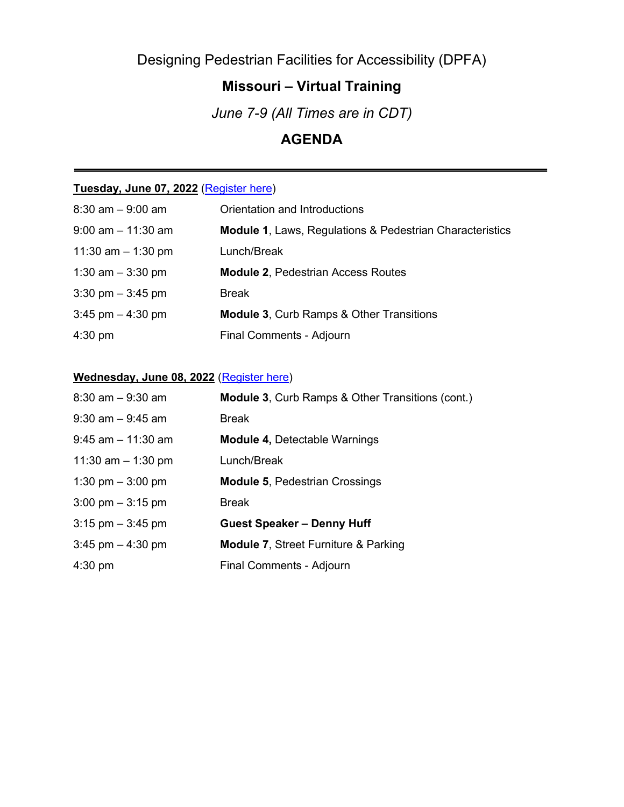Designing Pedestrian Facilities for Accessibility (DPFA)

# **Missouri – Virtual Training**

*June 7-9 (All Times are in CDT)*

## **AGENDA**

#### **Tuesday, June 07, 2022** [\(Register here\)](https://modot.webex.com/modot/j.php?RGID=r3da37fe81f9ffe97d44a8fe5edfe5f43)

| $8:30$ am $-9:00$ am  | Orientation and Introductions                                       |
|-----------------------|---------------------------------------------------------------------|
| $9:00$ am $-11:30$ am | <b>Module 1, Laws, Regulations &amp; Pedestrian Characteristics</b> |
| 11:30 am $-$ 1:30 pm  | Lunch/Break                                                         |
| 1:30 am $-$ 3:30 pm   | <b>Module 2. Pedestrian Access Routes</b>                           |
| 3:30 pm $-$ 3:45 pm   | <b>Break</b>                                                        |
| 3:45 pm $-$ 4:30 pm   | <b>Module 3, Curb Ramps &amp; Other Transitions</b>                 |
| $4:30$ pm             | Final Comments - Adjourn                                            |

# **Wednesday, June 08, 2022** [\(Register here\)](https://modot.webex.com/modot/j.php?RGID=r90548a11980cc8f144a9781a1753441a)

| $8:30$ am $-9:30$ am                | <b>Module 3, Curb Ramps &amp; Other Transitions (cont.)</b> |
|-------------------------------------|-------------------------------------------------------------|
| $9:30$ am $-9:45$ am                | Break                                                       |
| $9:45$ am $-11:30$ am               | <b>Module 4, Detectable Warnings</b>                        |
| 11:30 am $-$ 1:30 pm                | Lunch/Break                                                 |
| 1:30 pm $-$ 3:00 pm                 | <b>Module 5, Pedestrian Crossings</b>                       |
| $3:00 \text{ pm} - 3:15 \text{ pm}$ | <b>Break</b>                                                |
| $3:15$ pm $-3:45$ pm                | <b>Guest Speaker - Denny Huff</b>                           |
| $3:45$ pm $-4:30$ pm                | <b>Module 7, Street Furniture &amp; Parking</b>             |
| $4:30$ pm                           | Final Comments - Adjourn                                    |